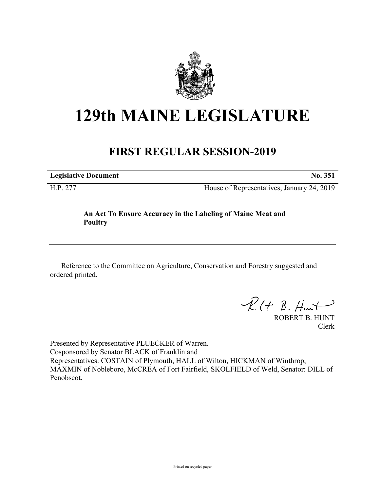

## **129th MAINE LEGISLATURE**

## **FIRST REGULAR SESSION-2019**

**Legislative Document No. 351**

H.P. 277 House of Representatives, January 24, 2019

## **An Act To Ensure Accuracy in the Labeling of Maine Meat and Poultry**

Reference to the Committee on Agriculture, Conservation and Forestry suggested and ordered printed.

 $\mathcal{R}(t \; \mathcal{B}, \mathcal{H}_{\mathsf{int}})$ 

ROBERT B. HUNT Clerk

Presented by Representative PLUECKER of Warren. Cosponsored by Senator BLACK of Franklin and Representatives: COSTAIN of Plymouth, HALL of Wilton, HICKMAN of Winthrop, MAXMIN of Nobleboro, McCREA of Fort Fairfield, SKOLFIELD of Weld, Senator: DILL of Penobscot.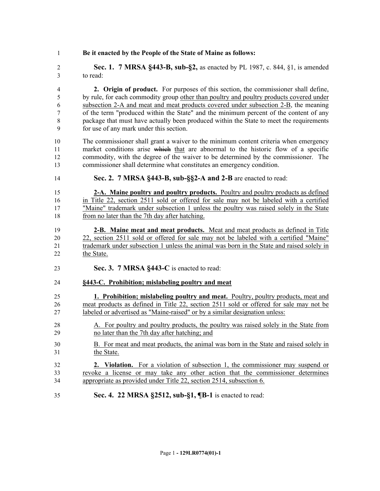**Be it enacted by the People of the State of Maine as follows:**

 **Sec. 1. 7 MRSA §443-B, sub-§2,** as enacted by PL 1987, c. 844, §1, is amended to read:

 **2. Origin of product.** For purposes of this section, the commissioner shall define, by rule, for each commodity group other than poultry and poultry products covered under subsection 2-A and meat and meat products covered under subsection 2-B, the meaning of the term "produced within the State" and the minimum percent of the content of any package that must have actually been produced within the State to meet the requirements for use of any mark under this section.

- The commissioner shall grant a waiver to the minimum content criteria when emergency 11 market conditions arise which that are abnormal to the historic flow of a specific commodity, with the degree of the waiver to be determined by the commissioner. The commissioner shall determine what constitutes an emergency condition.
- **Sec. 2. 7 MRSA §443-B, sub-§§2-A and 2-B** are enacted to read:

 **2-A. Maine poultry and poultry products.** Poultry and poultry products as defined in Title 22, section 2511 sold or offered for sale may not be labeled with a certified "Maine" trademark under subsection 1 unless the poultry was raised solely in the State from no later than the 7th day after hatching.

- **2-B. Maine meat and meat products.** Meat and meat products as defined in Title 22, section 2511 sold or offered for sale may not be labeled with a certified "Maine" trademark under subsection 1 unless the animal was born in the State and raised solely in the State.
- **Sec. 3. 7 MRSA §443-C** is enacted to read:

## **§443-C. Prohibition; mislabeling poultry and meat**

- **1. Prohibition; mislabeling poultry and meat.** Poultry, poultry products, meat and meat products as defined in Title 22, section 2511 sold or offered for sale may not be labeled or advertised as "Maine-raised" or by a similar designation unless:
- A. For poultry and poultry products, the poultry was raised solely in the State from no later than the 7th day after hatching; and
- B. For meat and meat products, the animal was born in the State and raised solely in the State.
- **2. Violation.** For a violation of subsection 1, the commissioner may suspend or revoke a license or may take any other action that the commissioner determines appropriate as provided under Title 22, section 2514, subsection 6.
- **Sec. 4. 22 MRSA §2512, sub-§1, ¶B-1** is enacted to read: